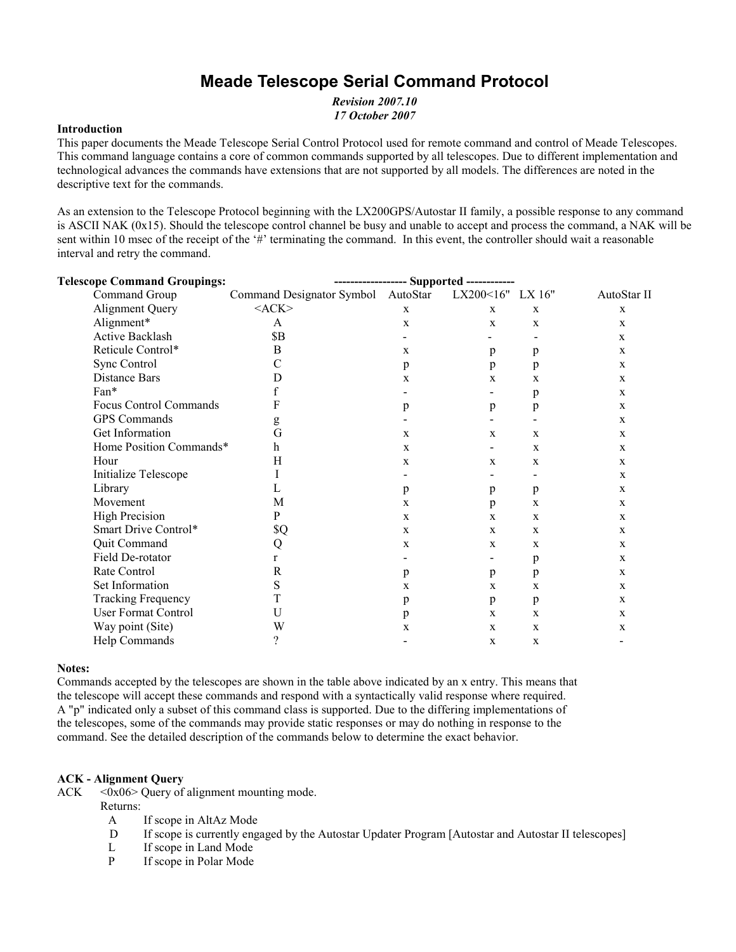# **Meade Telescope Serial Command Protocol**

*Revision 2007.10 17 October 2007*

#### **Introduction**

This paper documents the Meade Telescope Serial Control Protocol used for remote command and control of Meade Telescopes. This command language contains a core of common commands supported by all telescopes. Due to different implementation and technological advances the commands have extensions that are not supported by all models. The differences are noted in the descriptive text for the commands.

As an extension to the Telescope Protocol beginning with the LX200GPS/Autostar II family, a possible response to any command is ASCII NAK (0x15). Should the telescope control channel be busy and unable to accept and process the command, a NAK will be sent within 10 msec of the receipt of the '#' terminating the command. In this event, the controller should wait a reasonable interval and retry the command.

| <b>Telescope Command Groupings:</b> |                                    | ----------------- Supported ------------ |                  |             |             |
|-------------------------------------|------------------------------------|------------------------------------------|------------------|-------------|-------------|
| Command Group                       | Command Designator Symbol AutoStar |                                          | LX200<16" LX 16" |             | AutoStar II |
| <b>Alignment Query</b>              | ACK                                | $\mathbf{X}$                             | $\mathbf X$      | X           | $\mathbf X$ |
| Alignment*                          | A                                  | $\mathbf{X}$                             | X                | X           | X           |
| <b>Active Backlash</b>              | <b>\$B</b>                         |                                          |                  |             | X           |
| Reticule Control*                   | B                                  | X                                        | p                | p           | X           |
| Sync Control                        | С                                  | p                                        | p                | p           | X           |
| Distance Bars                       | D                                  | X                                        | X                | X           | X           |
| Fan*                                | f                                  |                                          |                  | p           | X           |
| <b>Focus Control Commands</b>       | F                                  | p                                        | p                | p           | X           |
| <b>GPS</b> Commands                 | g                                  |                                          |                  |             | X           |
| Get Information                     | G                                  | $\mathbf{x}$                             | X                | X           | X           |
| Home Position Commands*             | h                                  | $\mathbf{X}$                             |                  | $\mathbf x$ | X           |
| Hour                                | H                                  | X                                        | X                | X           | X           |
| Initialize Telescope                |                                    |                                          |                  |             | X           |
| Library                             | L                                  | p                                        | p                | p           | X           |
| Movement                            | M                                  | X                                        | p                | $\mathbf X$ | X           |
| <b>High Precision</b>               | $\mathbf{P}$                       | $\mathbf{X}$                             | X                | X           | X           |
| Smart Drive Control*                | \$Q                                | $\mathbf{X}$                             | X                | X           | X           |
| Quit Command                        | Q                                  | X                                        | X                | X           | X           |
| Field De-rotator                    | r                                  |                                          |                  | p           | X           |
| Rate Control                        | R                                  | p                                        | p                | p           | X           |
| Set Information                     | S                                  | X                                        | $\mathbf X$      | X           | X           |
| <b>Tracking Frequency</b>           | T                                  | p                                        | p                | p           | X           |
| <b>User Format Control</b>          | U                                  | p                                        | X                | X           | X           |
| Way point (Site)                    | W                                  | X                                        | X                | $\mathbf X$ | X           |
| Help Commands                       | ?                                  |                                          | $\mathbf X$      | $\mathbf X$ |             |
|                                     |                                    |                                          |                  |             |             |

#### **Notes:**

Commands accepted by the telescopes are shown in the table above indicated by an x entry. This means that the telescope will accept these commands and respond with a syntactically valid response where required. A "p" indicated only a subset of this command class is supported. Due to the differing implementations of the telescopes, some of the commands may provide static responses or may do nothing in response to the command. See the detailed description of the commands below to determine the exact behavior.

#### **ACK - Alignment Query**

ACK  $\leq 0x06$  Query of alignment mounting mode.

- Returns:
	- A If scope in AltAz Mode
	- D If scope is currently engaged by the Autostar Updater Program [Autostar and Autostar II telescopes]
	- L If scope in Land Mode
	- P If scope in Polar Mode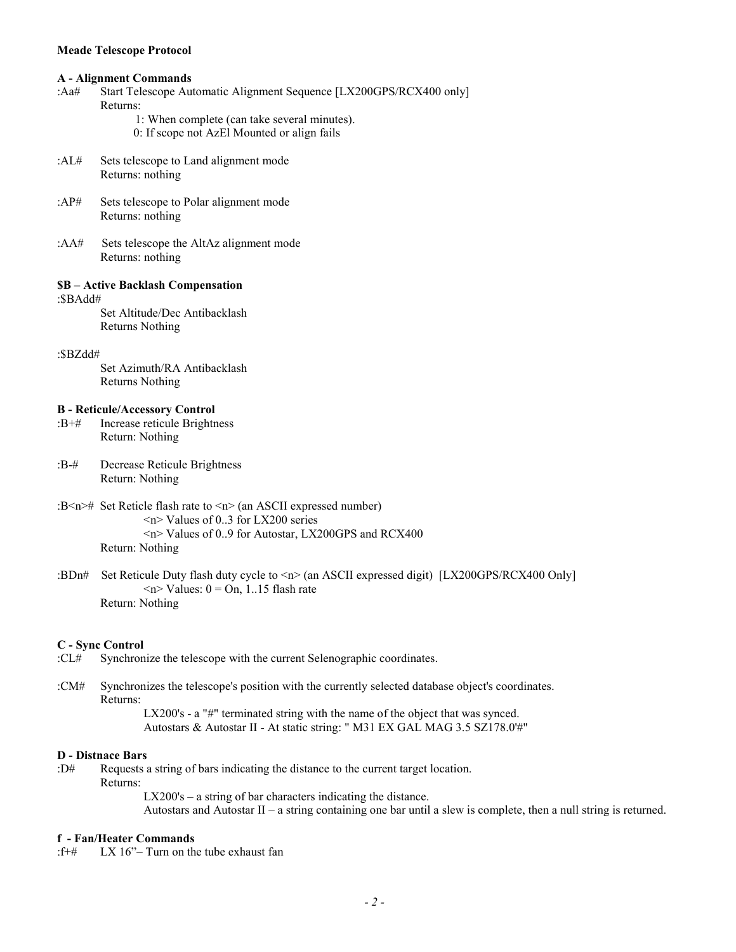#### **A - Alignment Commands**

- :Aa# Start Telescope Automatic Alignment Sequence [LX200GPS/RCX400 only] Returns:
	- 1: When complete (can take several minutes).
	- 0: If scope not AzEl Mounted or align fails
- :AL# Sets telescope to Land alignment mode Returns: nothing
- :AP# Sets telescope to Polar alignment mode Returns: nothing
- :AA# Sets telescope the AltAz alignment mode Returns: nothing

#### **\$B – Active Backlash Compensation**

:\$BAdd#

Set Altitude/Dec Antibacklash Returns Nothing

#### :\$BZdd#

Set Azimuth/RA Antibacklash Returns Nothing

## **B - Reticule/Accessory Control**

- :B+# Increase reticule Brightness Return: Nothing
- :B-# Decrease Reticule Brightness Return: Nothing
- :B<n># Set Reticle flash rate to <n> (an ASCII expressed number) <n> Values of 0..3 for LX200 series <n> Values of 0..9 for Autostar, LX200GPS and RCX400 Return: Nothing
- :BDn# Set Reticule Duty flash duty cycle to <n> (an ASCII expressed digit) [LX200GPS/RCX400 Only]  $\langle n \rangle$  Values:  $0 = \text{On}, 1.15$  flash rate Return: Nothing

## **C - Sync Control**

- :CL# Synchronize the telescope with the current Selenographic coordinates.
- :CM# Synchronizes the telescope's position with the currently selected database object's coordinates. Returns:

LX200's - a "#" terminated string with the name of the object that was synced. Autostars & Autostar II - At static string: " M31 EX GAL MAG 3.5 SZ178.0'#"

#### **D - Distnace Bars**

:D# Requests a string of bars indicating the distance to the current target location.

Returns:

 LX200's – a string of bar characters indicating the distance. Autostars and Autostar II – a string containing one bar until a slew is complete, then a null string is returned.

#### **f - Fan/Heater Commands**

:f+# LX 16"– Turn on the tube exhaust fan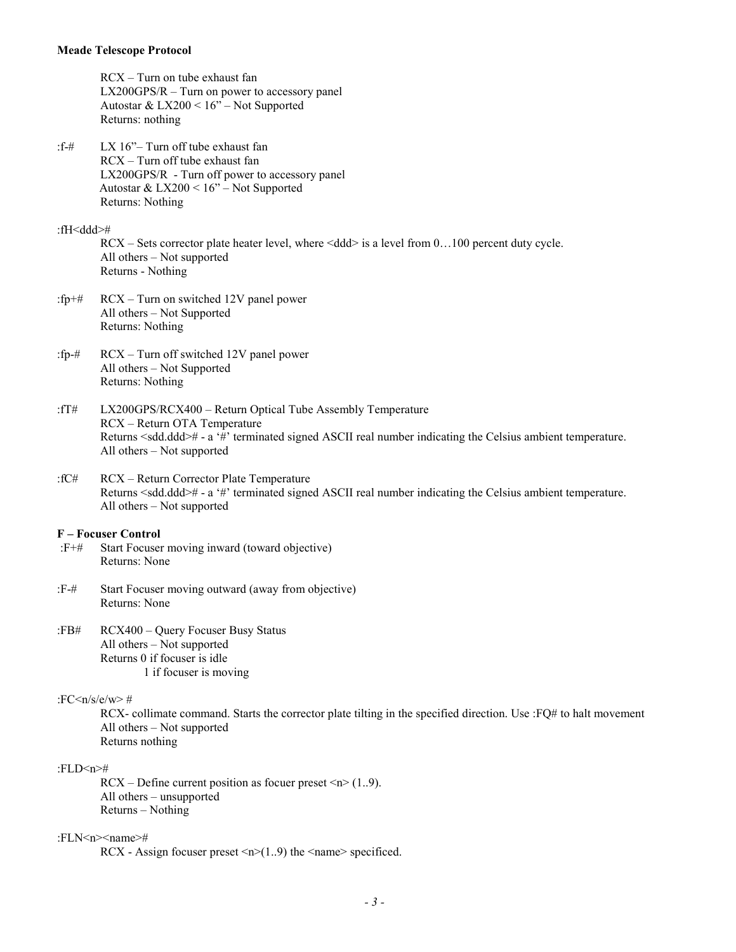RCX – Turn on tube exhaust fan LX200GPS/R – Turn on power to accessory panel Autostar & LX200 < 16" – Not Supported Returns: nothing

:f-# LX 16"– Turn off tube exhaust fan RCX – Turn off tube exhaust fan LX200GPS/R - Turn off power to accessory panel Autostar & LX200 < 16" – Not Supported Returns: Nothing

:fH<ddd>#

 $RCX - Sets$  corrector plate heater level, where  $\langle d d \rangle$  is a level from 0...100 percent duty cycle. All others – Not supported Returns - Nothing

- :fp+# RCX Turn on switched 12V panel power All others – Not Supported Returns: Nothing
- :fp-# RCX Turn off switched 12V panel power All others – Not Supported Returns: Nothing
- :fT# LX200GPS/RCX400 Return Optical Tube Assembly Temperature RCX – Return OTA Temperature Returns <sdd.ddd># - a '#' terminated signed ASCII real number indicating the Celsius ambient temperature. All others – Not supported
- :fC# RCX Return Corrector Plate Temperature Returns <sdd.ddd># - a '#' terminated signed ASCII real number indicating the Celsius ambient temperature. All others – Not supported

#### **F – Focuser Control**

- :F+# Start Focuser moving inward (toward objective) Returns: None
- :F-# Start Focuser moving outward (away from objective) Returns: None
- :FB# RCX400 Query Focuser Busy Status All others – Not supported Returns 0 if focuser is idle 1 if focuser is moving

## :FC $\langle n/s/e/w \rangle$ #

RCX- collimate command. Starts the corrector plate tilting in the specified direction. Use :FQ# to halt movement All others – Not supported Returns nothing

## :FLD<n>#

 $RCX - Define current position as forever preset  $\langle n \rangle (1..9)$ .$ All others – unsupported Returns – Nothing

#### :FLN<n><name>#

RCX - Assign focuser preset  $\langle n \rangle$ (1..9) the  $\langle$ name $\rangle$  specificed.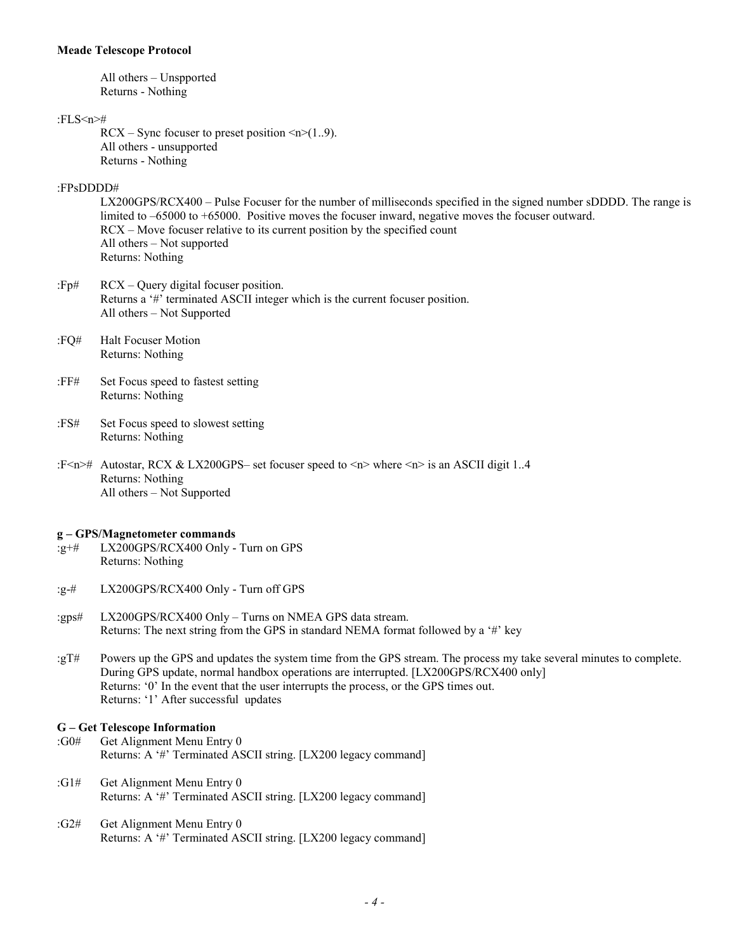All others – Unspported Returns - Nothing

#### :FLS<n>#

 $RCX - Sync$  focuser to preset position  $\leq n \leq (1..9)$ . All others - unsupported Returns - Nothing

## :FPsDDDD#

LX200GPS/RCX400 – Pulse Focuser for the number of milliseconds specified in the signed number sDDDD. The range is limited to  $-65000$  to  $+65000$ . Positive moves the focuser inward, negative moves the focuser outward. RCX – Move focuser relative to its current position by the specified count All others – Not supported Returns: Nothing

- :Fp# RCX Query digital focuser position. Returns a '#' terminated ASCII integer which is the current focuser position. All others – Not Supported
- :FQ# Halt Focuser Motion Returns: Nothing
- :FF# Set Focus speed to fastest setting Returns: Nothing
- :FS# Set Focus speed to slowest setting Returns: Nothing
- :F<n># Autostar, RCX & LX200GPS– set focuser speed to <n> where <n> is an ASCII digit 1..4 Returns: Nothing All others – Not Supported

#### **g – GPS/Magnetometer commands**

- :g+# LX200GPS/RCX400 Only Turn on GPS Returns: Nothing
- :g-# LX200GPS/RCX400 Only Turn off GPS
- :gps# LX200GPS/RCX400 Only Turns on NMEA GPS data stream. Returns: The next string from the GPS in standard NEMA format followed by a '#' key
- :gT# Powers up the GPS and updates the system time from the GPS stream. The process my take several minutes to complete. During GPS update, normal handbox operations are interrupted. [LX200GPS/RCX400 only] Returns: '0' In the event that the user interrupts the process, or the GPS times out. Returns: '1' After successful updates

### **G – Get Telescope Information**

- :G0# Get Alignment Menu Entry 0 Returns: A '#' Terminated ASCII string. [LX200 legacy command]
- :G1# Get Alignment Menu Entry 0 Returns: A '#' Terminated ASCII string. [LX200 legacy command]
- :G2# Get Alignment Menu Entry 0 Returns: A '#' Terminated ASCII string. [LX200 legacy command]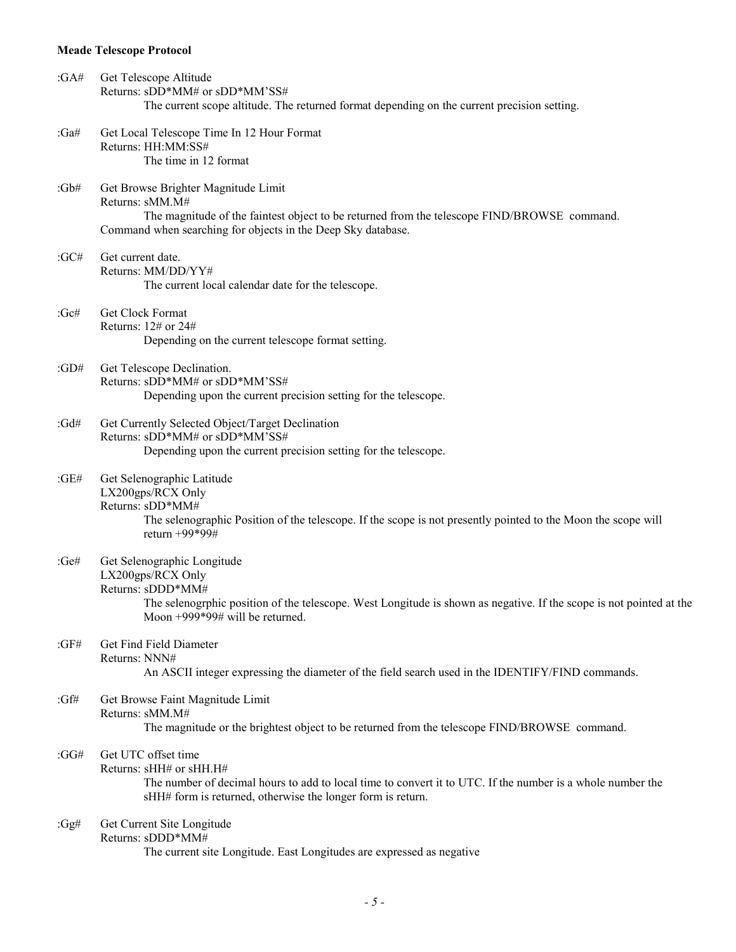| : $GA#$ | Get Telescope Altitude<br>Returns: sDD*MM# or sDD*MM'SS#<br>The current scope altitude. The returned format depending on the current precision setting.                                                                         |
|---------|---------------------------------------------------------------------------------------------------------------------------------------------------------------------------------------------------------------------------------|
| : $Ga#$ | Get Local Telescope Time In 12 Hour Format<br>Returns: HH:MM:SS#<br>The time in 12 format                                                                                                                                       |
| : $Gb#$ | Get Browse Brighter Magnitude Limit<br>Returns: sMM.M#<br>The magnitude of the faintest object to be returned from the telescope FIND/BROWSE command.<br>Command when searching for objects in the Deep Sky database.           |
| : $GC#$ | Get current date.<br>Returns: MM/DD/YY#<br>The current local calendar date for the telescope.                                                                                                                                   |
| : $Gc#$ | Get Clock Format<br>Returns: 12# or 24#<br>Depending on the current telescope format setting.                                                                                                                                   |
| : $GD#$ | Get Telescope Declination.<br>Returns: sDD*MM# or sDD*MM'SS#<br>Depending upon the current precision setting for the telescope.                                                                                                 |
| :Gd#    | Get Currently Selected Object/Target Declination<br>Returns: sDD*MM# or sDD*MM'SS#<br>Depending upon the current precision setting for the telescope.                                                                           |
| : $GE#$ | Get Selenographic Latitude<br>LX200gps/RCX Only<br>Returns: sDD*MM#<br>The selenographic Position of the telescope. If the scope is not presently pointed to the Moon the scope will<br>return +99*99#                          |
| :Ge#    | Get Selenographic Longitude<br>LX200gps/RCX Only<br>Returns: sDDD*MM#<br>The selenogrphic position of the telescope. West Longitude is shown as negative. If the scope is not pointed at the<br>Moon +999*99# will be returned. |
| :GF#    | Get Find Field Diameter<br>Returns: NNN#<br>An ASCII integer expressing the diameter of the field search used in the IDENTIFY/FIND commands.                                                                                    |
| :Gf#    | Get Browse Faint Magnitude Limit<br>Returns: sMM.M#<br>The magnitude or the brightest object to be returned from the telescope FIND/BROWSE command.                                                                             |
| :GG#    | Get UTC offset time<br>Returns: sHH# or sHH.H#<br>The number of decimal hours to add to local time to convert it to UTC. If the number is a whole number the<br>sHH# form is returned, otherwise the longer form is return.     |
| : $Gg#$ | Get Current Site Longitude<br>Returns: sDDD*MM#<br>The current site Longitude. East Longitudes are expressed as negative                                                                                                        |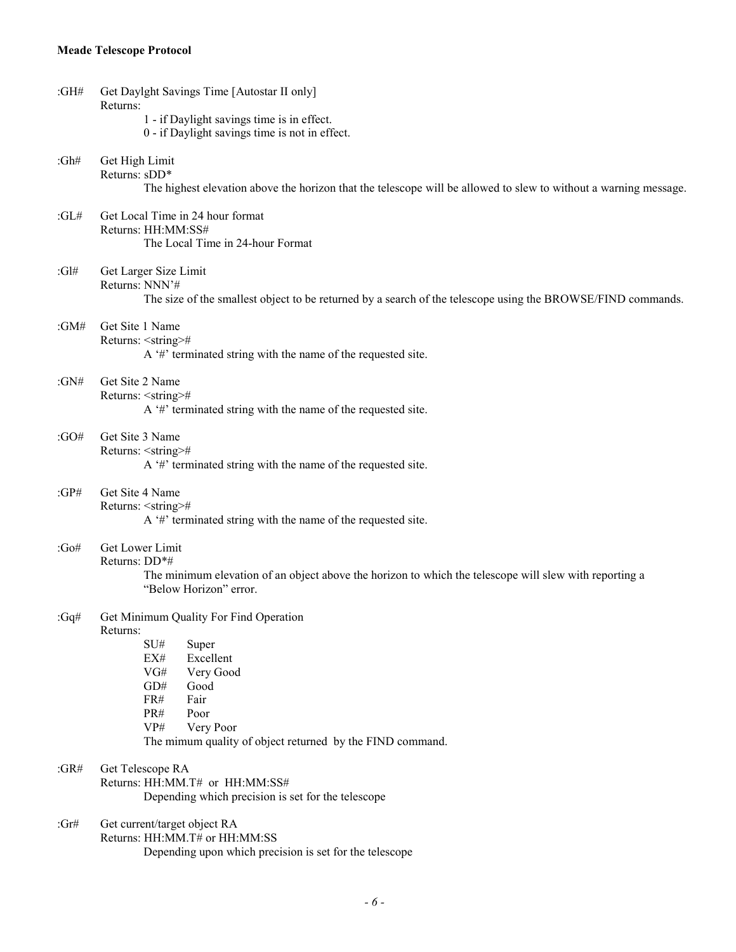| : $GH#$  | Get Daylght Savings Time [Autostar II only]<br>Returns:                                                                                                                                                                                  |  |  |
|----------|------------------------------------------------------------------------------------------------------------------------------------------------------------------------------------------------------------------------------------------|--|--|
|          | 1 - if Daylight savings time is in effect.<br>0 - if Daylight savings time is not in effect.                                                                                                                                             |  |  |
| : $Gh#$  | Get High Limit<br>Returns: sDD*                                                                                                                                                                                                          |  |  |
|          | The highest elevation above the horizon that the telescope will be allowed to slew to without a warning message.                                                                                                                         |  |  |
| : $GL#$  | Get Local Time in 24 hour format<br>Returns: HH:MM:SS#<br>The Local Time in 24-hour Format                                                                                                                                               |  |  |
| : $Gl#$  | Get Larger Size Limit<br>Returns: NNN'#                                                                                                                                                                                                  |  |  |
|          | The size of the smallest object to be returned by a search of the telescope using the BROWSE/FIND commands.                                                                                                                              |  |  |
| : $GM#$  | Get Site 1 Name<br>Returns: <string>#<br/>A '#' terminated string with the name of the requested site.</string>                                                                                                                          |  |  |
| : $GN#$  | Get Site 2 Name<br>Returns: <string>#<br/>A <math>H</math> terminated string with the name of the requested site.</string>                                                                                                               |  |  |
| :GO#     | Get Site 3 Name<br>Returns: <string>#<br/>A '#' terminated string with the name of the requested site.</string>                                                                                                                          |  |  |
| : $GP#$  | Get Site 4 Name<br>Returns: <string>#<br/>A '#' terminated string with the name of the requested site.</string>                                                                                                                          |  |  |
| : $Go#$  | Get Lower Limit<br>Returns: DD*#<br>The minimum elevation of an object above the horizon to which the telescope will slew with reporting a<br>"Below Horizon" error.                                                                     |  |  |
| :Gq#     | Get Minimum Quality For Find Operation<br>Returns:<br>SU#<br>Super<br>Excellent<br>EX#<br>Very Good<br>VG#<br>GD#<br>Good<br>FR#<br>Fair<br>PR#<br>Poor<br>Very Poor<br>VP#<br>The mimum quality of object returned by the FIND command. |  |  |
| : $GR#$  | Get Telescope RA<br>Returns: HH:MM.T# or HH:MM:SS#<br>Depending which precision is set for the telescope                                                                                                                                 |  |  |
| : $G$ r# | Get current/target object RA<br>Returns: HH:MM.T# or HH:MM:SS<br>Depending upon which precision is set for the telescope                                                                                                                 |  |  |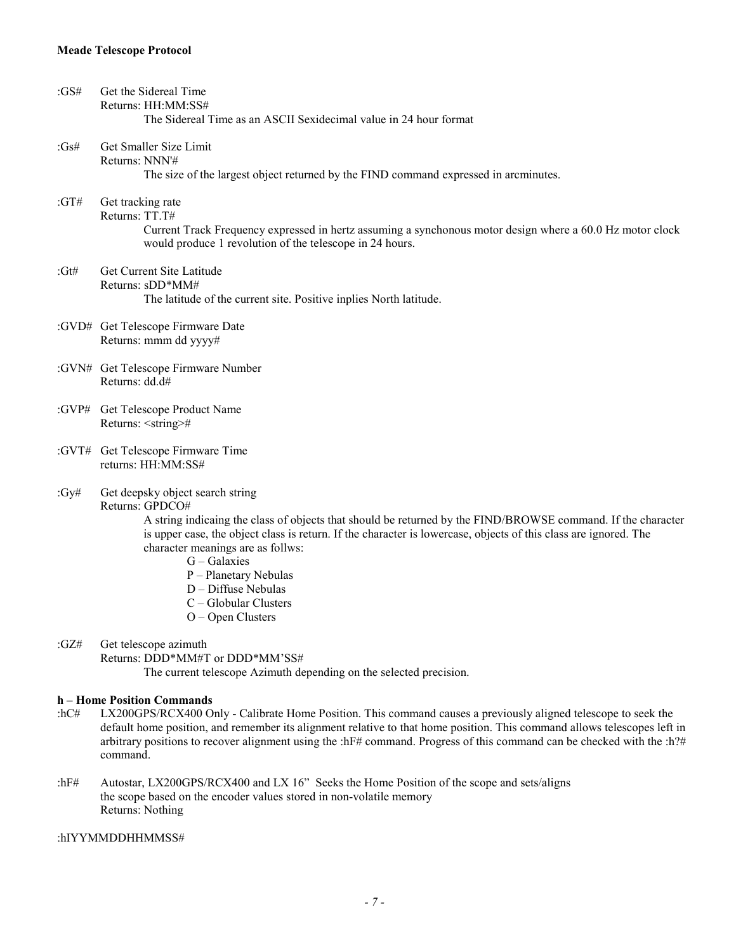| : $GS#$  | Get the Sidereal Time<br>Returns: HH:MM:SS#<br>The Sidereal Time as an ASCII Sexidecimal value in 24 hour format                                                                                                                                                                                                                                                                                                                                 |
|----------|--------------------------------------------------------------------------------------------------------------------------------------------------------------------------------------------------------------------------------------------------------------------------------------------------------------------------------------------------------------------------------------------------------------------------------------------------|
| : $Gs#$  | Get Smaller Size Limit<br>Returns: NNN'#<br>The size of the largest object returned by the FIND command expressed in arcminutes.                                                                                                                                                                                                                                                                                                                 |
|          |                                                                                                                                                                                                                                                                                                                                                                                                                                                  |
| :GT#     | Get tracking rate<br>Returns: TT.T#<br>Current Track Frequency expressed in hertz assuming a synchonous motor design where a 60.0 Hz motor clock                                                                                                                                                                                                                                                                                                 |
|          | would produce 1 revolution of the telescope in 24 hours.                                                                                                                                                                                                                                                                                                                                                                                         |
| : $G$ t# | Get Current Site Latitude<br>Returns: $sDD*MM#$                                                                                                                                                                                                                                                                                                                                                                                                  |
|          | The latitude of the current site. Positive inplies North latitude.                                                                                                                                                                                                                                                                                                                                                                               |
|          | :GVD# Get Telescope Firmware Date<br>Returns: mmm dd yyyy#                                                                                                                                                                                                                                                                                                                                                                                       |
|          | :GVN# Get Telescope Firmware Number<br>Returns: dd.d#                                                                                                                                                                                                                                                                                                                                                                                            |
|          | :GVP# Get Telescope Product Name<br>Returns: <string>#</string>                                                                                                                                                                                                                                                                                                                                                                                  |
|          | :GVT# Get Telescope Firmware Time<br>returns: HH:MM:SS#                                                                                                                                                                                                                                                                                                                                                                                          |
| : $Gy#$  | Get deepsky object search string<br>Returns: GPDCO#<br>A string indicaing the class of objects that should be returned by the FIND/BROWSE command. If the character<br>is upper case, the object class is return. If the character is lowercase, objects of this class are ignored. The<br>character meanings are as follws:<br>$G - Galaxies$<br>P - Planetary Nebulas<br>D - Diffuse Nebulas<br>$C - Globalar Clusters$<br>$O - Open Clusters$ |
| :GZ#     | Get telescope azimuth<br>Returns: DDD*MM#T or DDD*MM'SS#<br>The current telescope Azimuth depending on the selected precision.                                                                                                                                                                                                                                                                                                                   |
|          | h – Home Position Commands                                                                                                                                                                                                                                                                                                                                                                                                                       |

- :hC# LX200GPS/RCX400 Only Calibrate Home Position. This command causes a previously aligned telescope to seek the default home position, and remember its alignment relative to that home position. This command allows telescopes left in arbitrary positions to recover alignment using the :hF# command. Progress of this command can be checked with the :h?# command.
- :hF# Autostar, LX200GPS/RCX400 and LX 16" Seeks the Home Position of the scope and sets/aligns the scope based on the encoder values stored in non-volatile memory Returns: Nothing

## :hIYYMMDDHHMMSS#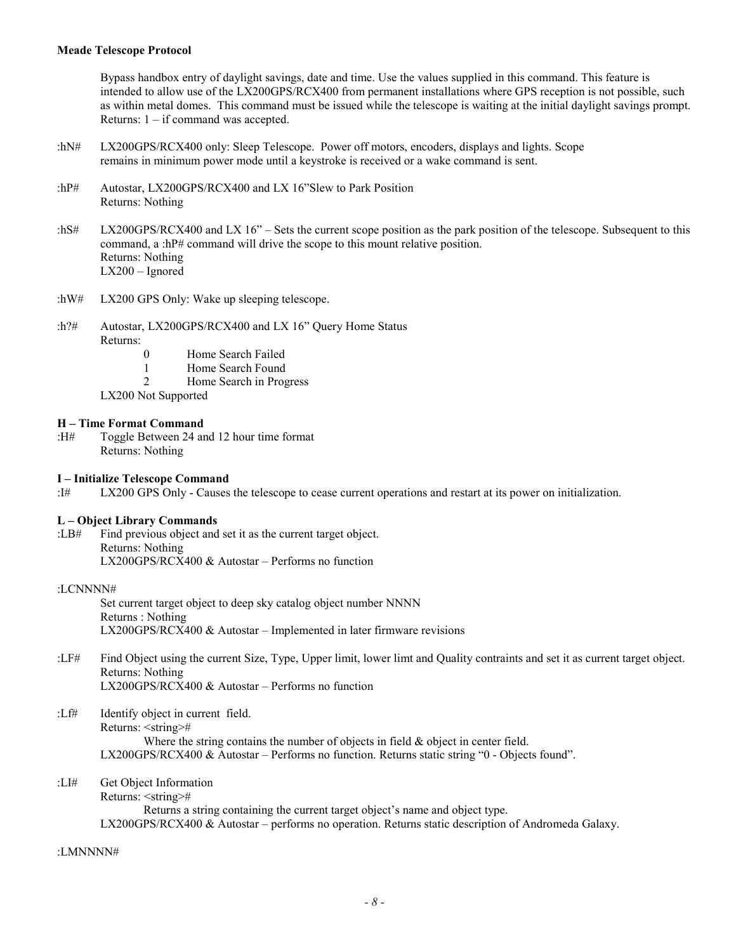Bypass handbox entry of daylight savings, date and time. Use the values supplied in this command. This feature is intended to allow use of the LX200GPS/RCX400 from permanent installations where GPS reception is not possible, such as within metal domes. This command must be issued while the telescope is waiting at the initial daylight savings prompt. Returns: 1 – if command was accepted.

- :hN# LX200GPS/RCX400 only: Sleep Telescope. Power off motors, encoders, displays and lights. Scope remains in minimum power mode until a keystroke is received or a wake command is sent.
- :hP# Autostar, LX200GPS/RCX400 and LX 16"Slew to Park Position Returns: Nothing
- :hS# LX200GPS/RCX400 and LX 16" Sets the current scope position as the park position of the telescope. Subsequent to this command, a :hP# command will drive the scope to this mount relative position. Returns: Nothing LX200 – Ignored
- :hW# LX200 GPS Only: Wake up sleeping telescope.
- :h?# Autostar, LX200GPS/RCX400 and LX 16" Query Home Status Returns:
	- 0 Home Search Failed
	- 1 Home Search Found
	- 2 Home Search in Progress
	- LX200 Not Supported

### **H – Time Format Command**

:H# Toggle Between 24 and 12 hour time format Returns: Nothing

#### **I – Initialize Telescope Command**

:I# LX200 GPS Only - Causes the telescope to cease current operations and restart at its power on initialization.

#### **L – Object Library Commands**

:LB# Find previous object and set it as the current target object. Returns: Nothing LX200GPS/RCX400 & Autostar – Performs no function

## :LCNNNN#

Set current target object to deep sky catalog object number NNNN Returns : Nothing LX200GPS/RCX400 & Autostar – Implemented in later firmware revisions

- :LF# Find Object using the current Size, Type, Upper limit, lower limt and Quality contraints and set it as current target object. Returns: Nothing LX200GPS/RCX400 & Autostar – Performs no function
- :Lf# Identify object in current field. Returns: <string># Where the string contains the number of objects in field & object in center field. LX200GPS/RCX400 & Autostar – Performs no function. Returns static string "0 - Objects found".

## :LI# Get Object Information

Returns: <string># Returns a string containing the current target object's name and object type. LX200GPS/RCX400 & Autostar – performs no operation. Returns static description of Andromeda Galaxy.

#### :LMNNNN#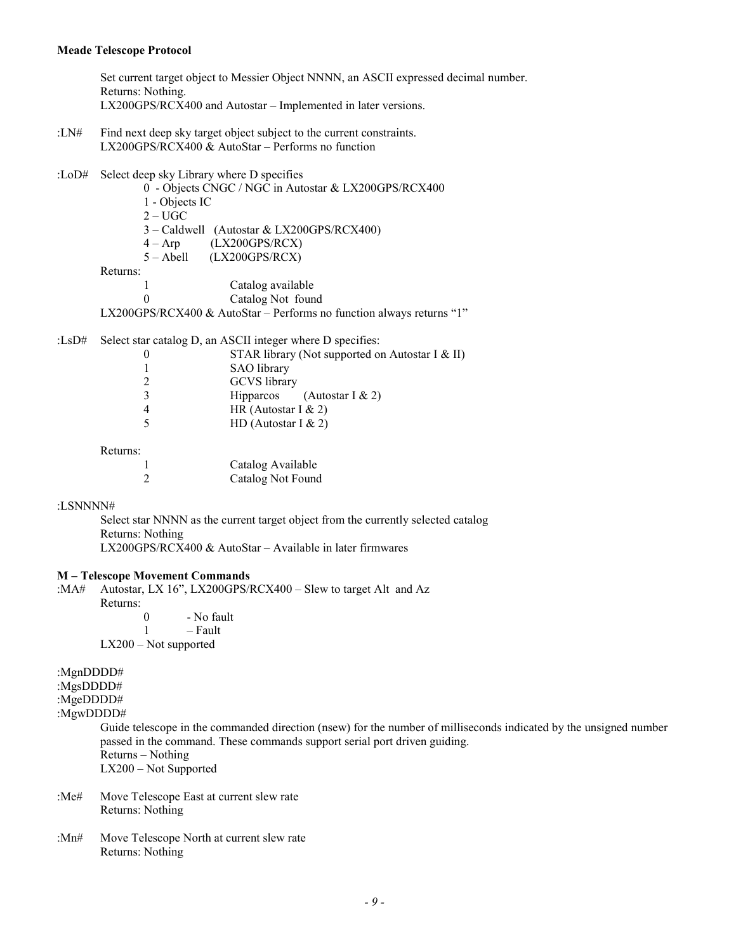Set current target object to Messier Object NNNN, an ASCII expressed decimal number. Returns: Nothing. LX200GPS/RCX400 and Autostar – Implemented in later versions.

- :LN# Find next deep sky target object subject to the current constraints. LX200GPS/RCX400 & AutoStar – Performs no function
- :LoD# Select deep sky Library where D specifies
	- 0 Objects CNGC / NGC in Autostar & LX200GPS/RCX400
	- 1 Objects IC
	- $2 UGC$
	- 3 Caldwell (Autostar & LX200GPS/RCX400)
	- $4 \text{Arp}$  (LX200GPS/RCX)
	- 5 Abell (LX200GPS/RCX)

Returns:

- 1 Catalog available
	- 0 Catalog Not found
- LX200GPS/RCX400 & AutoStar Performs no function always returns "1"

:LsD# Select star catalog D, an ASCII integer where D specifies:

| STAR library (Not supported on Autostar I & II) |
|-------------------------------------------------|
| <b>SAO</b> library                              |
| <b>GCVS</b> library                             |
| <b>Hipparcos</b><br>(Autostar I $& 2$ )         |
| HR (Autostar I $& 2$ )                          |
| HD (Autostar I $& 2$ )                          |
|                                                 |

Returns:

| Catalog Available |
|-------------------|
| Catalog Not Found |

### :LSNNNN#

Select star NNNN as the current target object from the currently selected catalog Returns: Nothing LX200GPS/RCX400 & AutoStar – Available in later firmwares

#### **M – Telescope Movement Commands**

:MA# Autostar, LX 16", LX200GPS/RCX400 – Slew to target Alt and Az Returns: 0 - No fault 1 – Fault LX200 – Not supported

:MgnDDDD#

:MgsDDDD#

:MgeDDDD#

:MgwDDDD#

Guide telescope in the commanded direction (nsew) for the number of milliseconds indicated by the unsigned number passed in the command. These commands support serial port driven guiding. Returns – Nothing LX200 – Not Supported

- :Me# Move Telescope East at current slew rate Returns: Nothing
- :Mn# Move Telescope North at current slew rate Returns: Nothing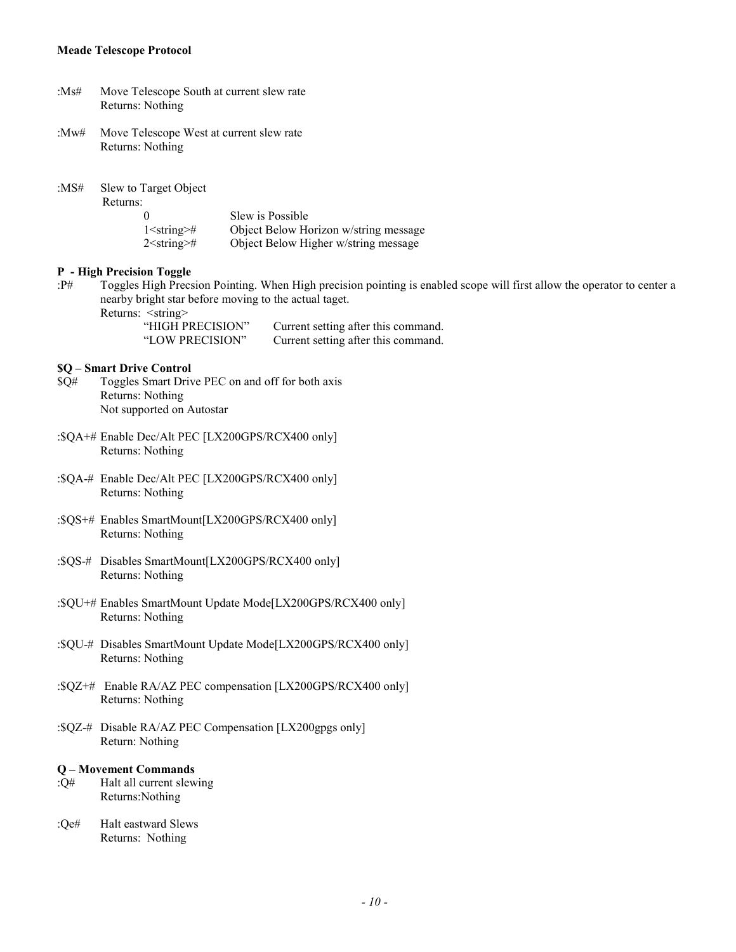| : $Ms#$  | Move Telescope South at current slew rate<br>Returns: Nothing                                                                                                                                                                                                                                                                                                        |
|----------|----------------------------------------------------------------------------------------------------------------------------------------------------------------------------------------------------------------------------------------------------------------------------------------------------------------------------------------------------------------------|
| : $Mw#$  | Move Telescope West at current slew rate<br>Returns: Nothing                                                                                                                                                                                                                                                                                                         |
| : $MS#$  | Slew to Target Object<br>Returns:<br>Slew is Possible<br>0<br>1 <string>#<br/>Object Below Horizon w/string message<br/><math>2</math> &lt; string &gt;#<br/>Object Below Higher w/string message</string>                                                                                                                                                           |
| $:$ P#   | P - High Precision Toggle<br>Toggles High Precsion Pointing. When High precision pointing is enabled scope will first allow the operator to center a<br>nearby bright star before moving to the actual taget.<br>Returns: <string><br/>"HIGH PRECISION"<br/>Current setting after this command.<br/>Current setting after this command.<br/>"LOW PRECISION"</string> |
| \$Q#     | \$Q - Smart Drive Control<br>Toggles Smart Drive PEC on and off for both axis<br>Returns: Nothing<br>Not supported on Autostar                                                                                                                                                                                                                                       |
|          | :\$QA+# Enable Dec/Alt PEC [LX200GPS/RCX400 only]<br>Returns: Nothing                                                                                                                                                                                                                                                                                                |
|          | :\$QA-# Enable Dec/Alt PEC [LX200GPS/RCX400 only]<br>Returns: Nothing                                                                                                                                                                                                                                                                                                |
|          | :\$QS+# Enables SmartMount[LX200GPS/RCX400 only]<br>Returns: Nothing                                                                                                                                                                                                                                                                                                 |
|          | :\$QS-# Disables SmartMount[LX200GPS/RCX400 only]<br>Returns: Nothing                                                                                                                                                                                                                                                                                                |
|          | :\$QU+# Enables SmartMount Update Mode[LX200GPS/RCX400 only]<br>Returns: Nothing                                                                                                                                                                                                                                                                                     |
|          | :\$QU-# Disables SmartMount Update Mode[LX200GPS/RCX400 only]<br>Returns: Nothing                                                                                                                                                                                                                                                                                    |
|          | :\$QZ+# Enable RA/AZ PEC compensation [LX200GPS/RCX400 only]<br>Returns: Nothing                                                                                                                                                                                                                                                                                     |
|          | :\$QZ-# Disable RA/AZ PEC Compensation [LX200gpgs only]<br>Return: Nothing                                                                                                                                                                                                                                                                                           |
| Q#       | Q - Movement Commands<br>Halt all current slewing<br>Returns: Nothing                                                                                                                                                                                                                                                                                                |
| : $Qe\#$ | Halt eastward Slews<br>Returns: Nothing                                                                                                                                                                                                                                                                                                                              |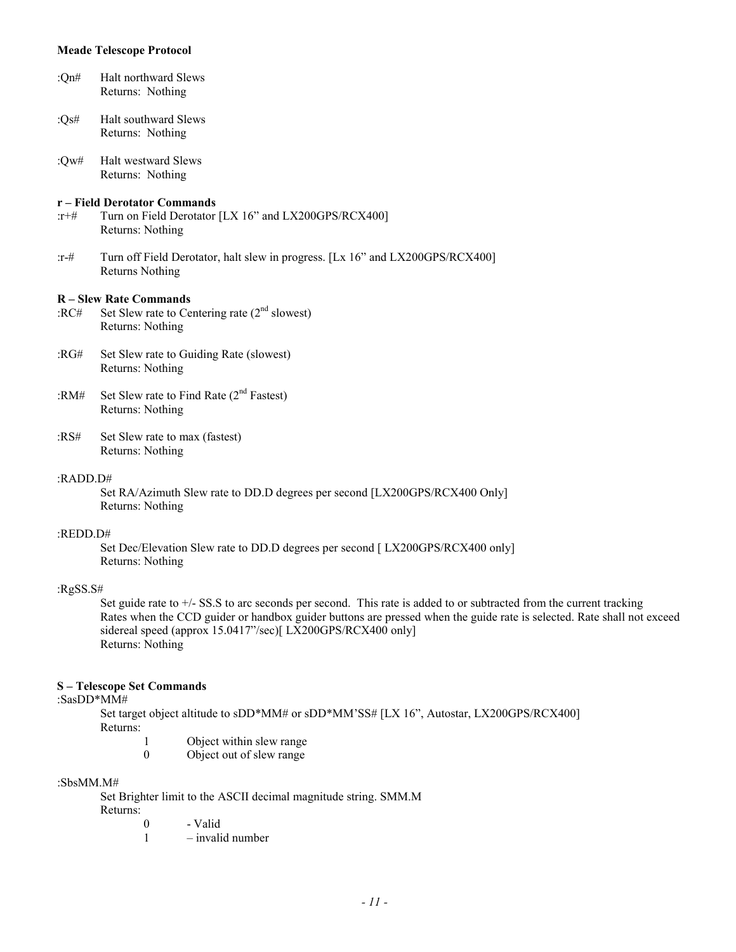| : $On#$ | <b>Halt northward Slews</b> |  |  |
|---------|-----------------------------|--|--|
|         | Returns: Nothing            |  |  |

:Qs# Halt southward Slews Returns: Nothing

:Qw# Halt westward Slews Returns: Nothing

#### **r – Field Derotator Commands**

- :r+# Turn on Field Derotator [LX 16" and LX200GPS/RCX400] Returns: Nothing
- :r-# Turn off Field Derotator, halt slew in progress. [Lx 16" and LX200GPS/RCX400] Returns Nothing

#### **R – Slew Rate Commands**

- :RC# Set Slew rate to Centering rate  $(2<sup>nd</sup>$  slowest) Returns: Nothing
- :RG# Set Slew rate to Guiding Rate (slowest) Returns: Nothing
- :RM# Set Slew rate to Find Rate  $(2<sup>nd</sup> Fastest)$ Returns: Nothing
- :RS# Set Slew rate to max (fastest) Returns: Nothing

## :RADD.D#

Set RA/Azimuth Slew rate to DD.D degrees per second [LX200GPS/RCX400 Only] Returns: Nothing

#### :REDD.D#

Set Dec/Elevation Slew rate to DD.D degrees per second [ LX200GPS/RCX400 only] Returns: Nothing

## :RgSS.S#

Set guide rate to  $+/-$  SS.S to arc seconds per second. This rate is added to or subtracted from the current tracking Rates when the CCD guider or handbox guider buttons are pressed when the guide rate is selected. Rate shall not exceed sidereal speed (approx 15.0417"/sec)[ LX200GPS/RCX400 only] Returns: Nothing

## **S – Telescope Set Commands**

## :SasDD\*MM#

Set target object altitude to sDD\*MM# or sDD\*MM'SS# [LX 16", Autostar, LX200GPS/RCX400] Returns:

- 1 Object within slew range<br>0 Object out of slew range
- 0 Object out of slew range

#### :SbsMM.M#

Set Brighter limit to the ASCII decimal magnitude string. SMM.M Returns:

- 0 Valid
- 1 invalid number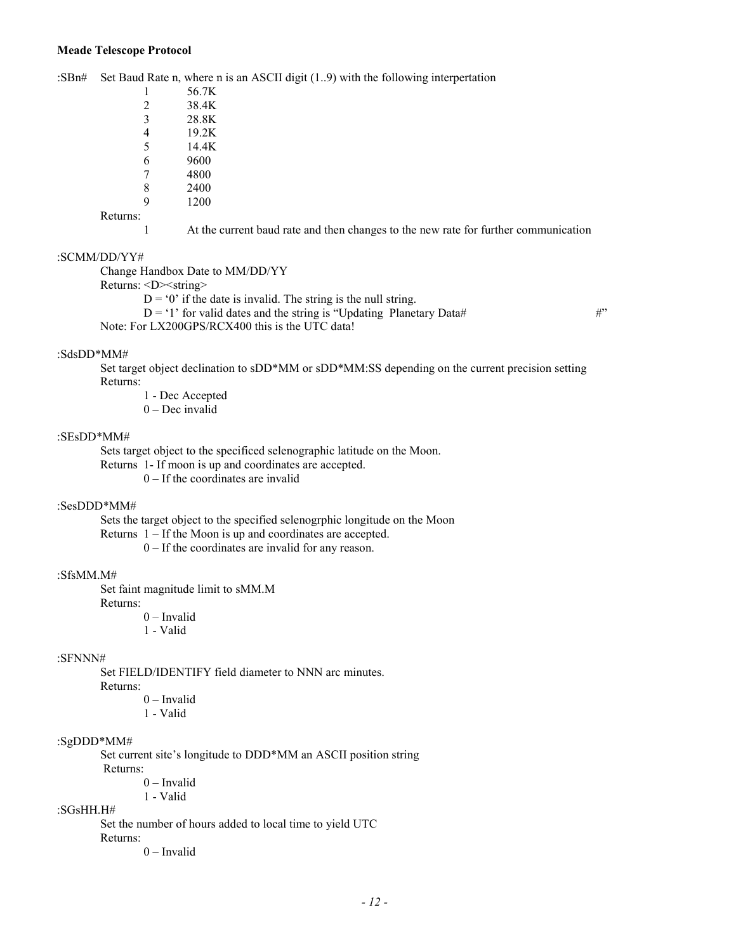#### :SBn# Set Baud Rate n, where n is an ASCII digit (1..9) with the following interpertation

| 1              | 56 7K |
|----------------|-------|
| $\mathfrak{D}$ | 38.4K |
| 3              | 28.8K |
| 4              | 19.2K |
| 5              | 14.4K |
| 6              | 9600  |
| 7              | 4800  |
| 8              | 2400  |
| q              | 1200  |

#### Returns:

1 At the current baud rate and then changes to the new rate for further communication

## :SCMM/DD/YY#

Change Handbox Date to MM/DD/YY

Returns: <D><string>

 $D = 0$ <sup>o</sup> if the date is invalid. The string is the null string.

 $D = '1'$  for valid dates and the string is "Updating Planetary Data# #" Note: For LX200GPS/RCX400 this is the UTC data!

#### :SdsDD\*MM#

Set target object declination to sDD\*MM or sDD\*MM:SS depending on the current precision setting Returns:

- 1 Dec Accepted
- 0 Dec invalid

## :SEsDD\*MM#

Sets target object to the specificed selenographic latitude on the Moon.

Returns 1- If moon is up and coordinates are accepted.

 $0 -$  If the coordinates are invalid

#### :SesDDD\*MM#

Sets the target object to the specified selenogrphic longitude on the Moon

Returns 1 – If the Moon is up and coordinates are accepted.

0 – If the coordinates are invalid for any reason.

## :SfsMM.M#

Set faint magnitude limit to sMM.M

Returns:

0 – Invalid

1 - Valid

#### :SFNNN#

Set FIELD/IDENTIFY field diameter to NNN arc minutes.

Returns:

0 – Invalid

1 - Valid

#### :SgDDD\*MM#

Set current site's longitude to DDD\*MM an ASCII position string Returns:

0 – Invalid

1 - Valid

#### :SGsHH.H#

Set the number of hours added to local time to yield UTC

Returns:

0 – Invalid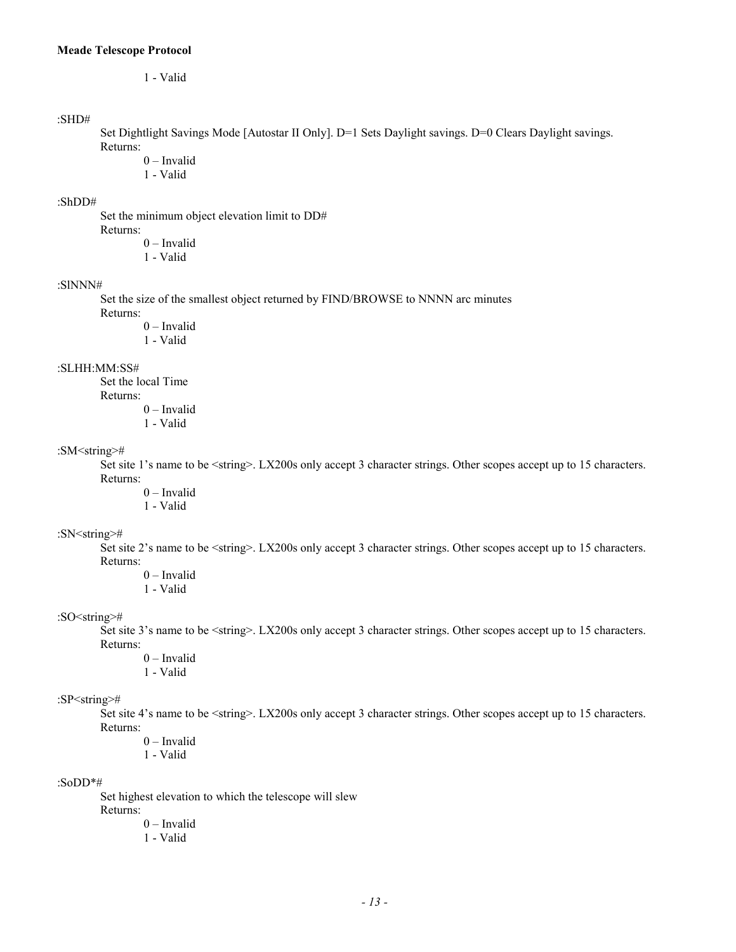```
1 - Valid
```
## :SHD#

Set Dightlight Savings Mode [Autostar II Only]. D=1 Sets Daylight savings. D=0 Clears Daylight savings. Returns:

0 – Invalid

1 - Valid

#### :ShDD#

Set the minimum object elevation limit to DD# Returns:

0 – Invalid

1 - Valid

#### :SlNNN#

Set the size of the smallest object returned by FIND/BROWSE to NNNN arc minutes

Returns:

0 – Invalid 1 - Valid

#### :SLHH:MM:SS#

Set the local Time Returns:

0 – Invalid 1 - Valid

## :SM<string>#

Set site 1's name to be <string>. LX200s only accept 3 character strings. Other scopes accept up to 15 characters. Returns:

- 0 Invalid
- 1 Valid

#### :SN<string>#

Set site 2's name to be <string>. LX200s only accept 3 character strings. Other scopes accept up to 15 characters. Returns:

- 0 Invalid
- 1 Valid

## :SO<string>#

Set site 3's name to be <string>. LX200s only accept 3 character strings. Other scopes accept up to 15 characters. Returns:

0 – Invalid

1 - Valid

## :SP<string>#

Set site 4's name to be <string>. LX200s only accept 3 character strings. Other scopes accept up to 15 characters. Returns:

- 0 Invalid
- 1 Valid

#### :SoDD\*#

Set highest elevation to which the telescope will slew

Returns:

0 – Invalid 1 - Valid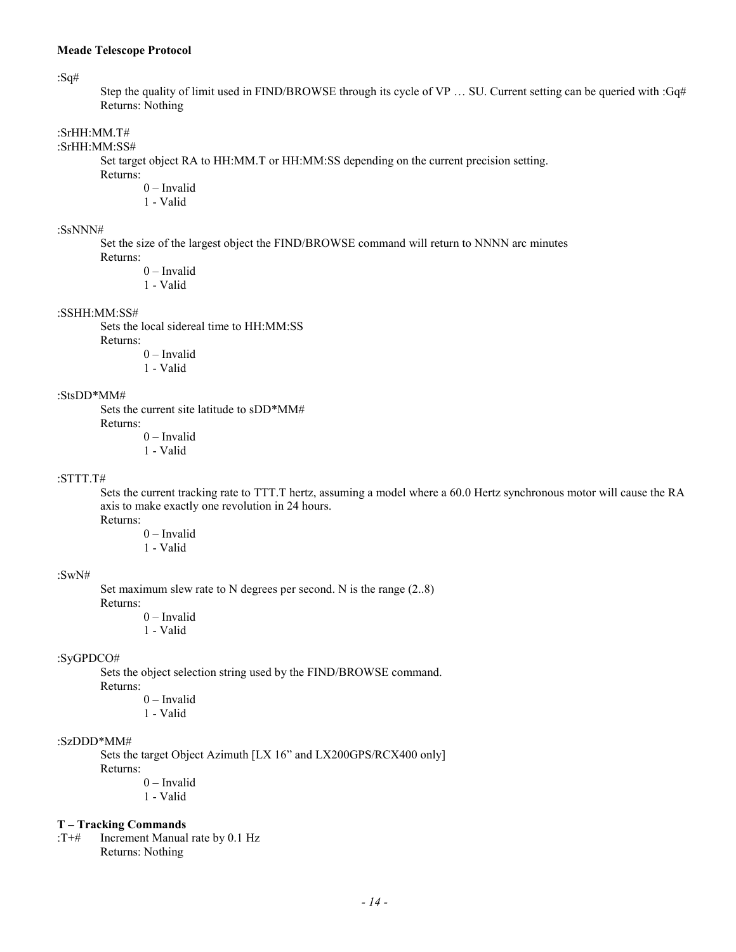:Sq#

Step the quality of limit used in FIND/BROWSE through its cycle of VP ... SU. Current setting can be queried with :Gq# Returns: Nothing

## :SrHH:MM.T#

:SrHH:MM:SS#

Set target object RA to HH:MM.T or HH:MM:SS depending on the current precision setting.

Returns:

0 – Invalid

1 - Valid

#### :SsNNN#

Set the size of the largest object the FIND/BROWSE command will return to NNNN arc minutes Returns:

0 – Invalid

1 - Valid

#### :SSHH:MM:SS#

Sets the local sidereal time to HH:MM:SS Returns: 0 – Invalid

1 - Valid

#### :StsDD\*MM#

Sets the current site latitude to sDD\*MM# Returns:

0 – Invalid

1 - Valid

#### :STTT.T#

Sets the current tracking rate to TTT.T hertz, assuming a model where a 60.0 Hertz synchronous motor will cause the RA axis to make exactly one revolution in 24 hours. Returns:

0 – Invalid 1 - Valid

#### :SwN#

Set maximum slew rate to N degrees per second. N is the range (2..8) Returns:

0 – Invalid

1 - Valid

## :SyGPDCO#

Sets the object selection string used by the FIND/BROWSE command. Returns:

0 – Invalid

1 - Valid

## :SzDDD\*MM#

Sets the target Object Azimuth [LX 16" and LX200GPS/RCX400 only] Returns:

0 – Invalid

1 - Valid

#### **T – Tracking Commands**

:T+# Increment Manual rate by 0.1 Hz Returns: Nothing